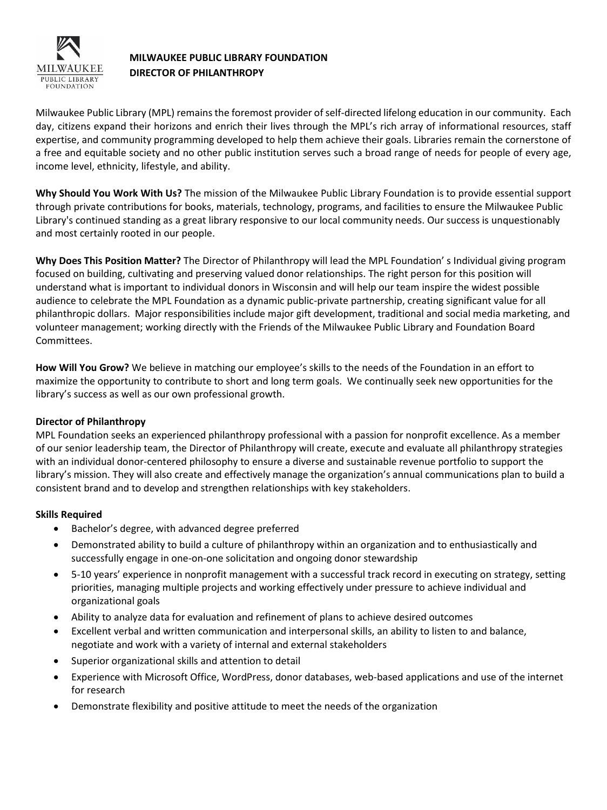

# **MILWAUKEE PUBLIC LIBRARY FOUNDATION DIRECTOR OF PHILANTHROPY**

Milwaukee Public Library (MPL) remains the foremost provider of self-directed lifelong education in our community. Each day, citizens expand their horizons and enrich their lives through the MPL's rich array of informational resources, staff expertise, and community programming developed to help them achieve their goals. Libraries remain the cornerstone of a free and equitable society and no other public institution serves such a broad range of needs for people of every age, income level, ethnicity, lifestyle, and ability.

**Why Should You Work With Us?** The mission of the Milwaukee Public Library Foundation is to provide essential support through private contributions for books, materials, technology, programs, and facilities to ensure the Milwaukee Public Library's continued standing as a great library responsive to our local community needs. Our success is unquestionably and most certainly rooted in our people.

**Why Does This Position Matter?** The Director of Philanthropy will lead the MPL Foundation' s Individual giving program focused on building, cultivating and preserving valued donor relationships. The right person for this position will understand what is important to individual donors in Wisconsin and will help our team inspire the widest possible audience to celebrate the MPL Foundation as a dynamic public-private partnership, creating significant value for all philanthropic dollars. Major responsibilities include major gift development, traditional and social media marketing, and volunteer management; working directly with the Friends of the Milwaukee Public Library and Foundation Board Committees.

**How Will You Grow?** We believe in matching our employee's skills to the needs of the Foundation in an effort to maximize the opportunity to contribute to short and long term goals. We continually seek new opportunities for the library's success as well as our own professional growth.

## **Director of Philanthropy**

MPL Foundation seeks an experienced philanthropy professional with a passion for nonprofit excellence. As a member of our senior leadership team, the Director of Philanthropy will create, execute and evaluate all philanthropy strategies with an individual donor-centered philosophy to ensure a diverse and sustainable revenue portfolio to support the library's mission. They will also create and effectively manage the organization's annual communications plan to build a consistent brand and to develop and strengthen relationships with key stakeholders.

## **Skills Required**

- Bachelor's degree, with advanced degree preferred
- Demonstrated ability to build a culture of philanthropy within an organization and to enthusiastically and successfully engage in one-on-one solicitation and ongoing donor stewardship
- 5-10 years' experience in nonprofit management with a successful track record in executing on strategy, setting priorities, managing multiple projects and working effectively under pressure to achieve individual and organizational goals
- Ability to analyze data for evaluation and refinement of plans to achieve desired outcomes
- Excellent verbal and written communication and interpersonal skills, an ability to listen to and balance, negotiate and work with a variety of internal and external stakeholders
- Superior organizational skills and attention to detail
- Experience with Microsoft Office, WordPress, donor databases, web-based applications and use of the internet for research
- Demonstrate flexibility and positive attitude to meet the needs of the organization